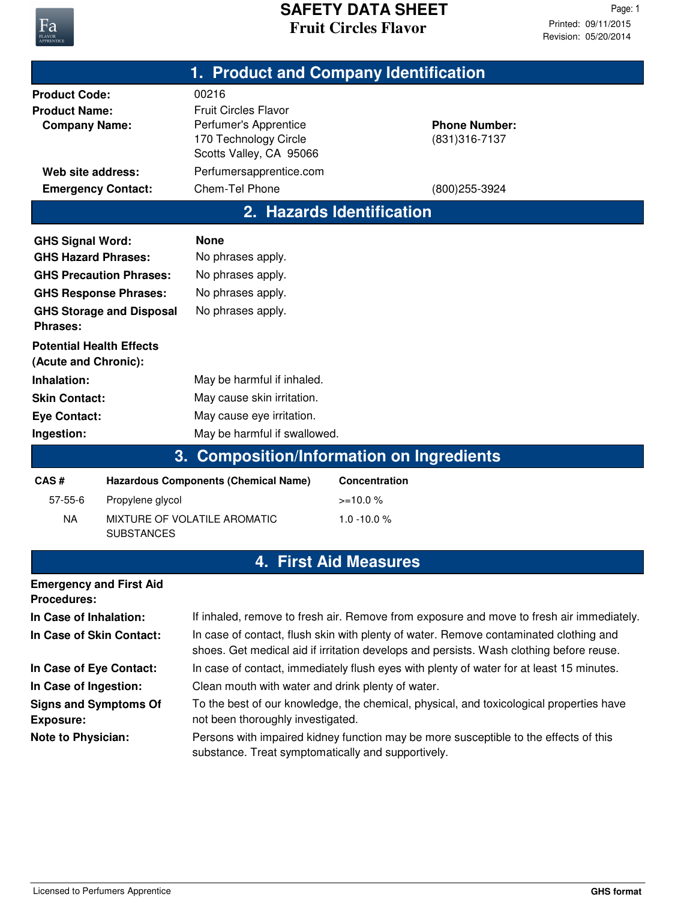

## **Fruit Circles Flavor SAFETY DATA SHEET**

Revision: 05/20/2014 Printed: 09/11/2015 Page: 1

| 1. Product and Company Identification                                |                                             |                                                                                                                   |                           |                                        |  |  |
|----------------------------------------------------------------------|---------------------------------------------|-------------------------------------------------------------------------------------------------------------------|---------------------------|----------------------------------------|--|--|
| <b>Product Code:</b><br><b>Product Name:</b><br><b>Company Name:</b> |                                             | 00216<br><b>Fruit Circles Flavor</b><br>Perfumer's Apprentice<br>170 Technology Circle<br>Scotts Valley, CA 95066 |                           | <b>Phone Number:</b><br>(831) 316-7137 |  |  |
| Web site address:                                                    |                                             | Perfumersapprentice.com                                                                                           |                           |                                        |  |  |
| <b>Emergency Contact:</b>                                            |                                             | Chem-Tel Phone                                                                                                    |                           | (800) 255-3924                         |  |  |
|                                                                      |                                             |                                                                                                                   | 2. Hazards Identification |                                        |  |  |
| <b>GHS Signal Word:</b>                                              |                                             | <b>None</b>                                                                                                       |                           |                                        |  |  |
| <b>GHS Hazard Phrases:</b>                                           |                                             | No phrases apply.                                                                                                 |                           |                                        |  |  |
| <b>GHS Precaution Phrases:</b>                                       |                                             | No phrases apply.                                                                                                 |                           |                                        |  |  |
| <b>GHS Response Phrases:</b>                                         |                                             | No phrases apply.                                                                                                 |                           |                                        |  |  |
| <b>GHS Storage and Disposal</b><br><b>Phrases:</b>                   |                                             | No phrases apply.                                                                                                 |                           |                                        |  |  |
| <b>Potential Health Effects</b><br>(Acute and Chronic):              |                                             |                                                                                                                   |                           |                                        |  |  |
| Inhalation:                                                          |                                             | May be harmful if inhaled.                                                                                        |                           |                                        |  |  |
| <b>Skin Contact:</b>                                                 |                                             | May cause skin irritation.                                                                                        |                           |                                        |  |  |
| <b>Eye Contact:</b>                                                  |                                             | May cause eye irritation.                                                                                         |                           |                                        |  |  |
| Ingestion:                                                           |                                             | May be harmful if swallowed.                                                                                      |                           |                                        |  |  |
|                                                                      | 3.                                          | <b>Composition/Information on Ingredients</b>                                                                     |                           |                                        |  |  |
| CAS#                                                                 | <b>Hazardous Components (Chemical Name)</b> |                                                                                                                   | Concentration             |                                        |  |  |
| $57 - 55 - 6$                                                        | Propylene glycol                            |                                                                                                                   | $>=10.0%$                 |                                        |  |  |
| <b>NA</b>                                                            | MIXTURE OF VOLATILE AROMATIC                |                                                                                                                   | $1.0 - 10.0 %$            |                                        |  |  |

## **4. First Aid Measures**

| <b>Emergency and First Aid</b><br><b>Procedures:</b> |                                                                                                                                                                                  |
|------------------------------------------------------|----------------------------------------------------------------------------------------------------------------------------------------------------------------------------------|
| In Case of Inhalation:                               | If inhaled, remove to fresh air. Remove from exposure and move to fresh air immediately.                                                                                         |
| In Case of Skin Contact:                             | In case of contact, flush skin with plenty of water. Remove contaminated clothing and<br>shoes. Get medical aid if irritation develops and persists. Wash clothing before reuse. |
| In Case of Eye Contact:                              | In case of contact, immediately flush eyes with plenty of water for at least 15 minutes.                                                                                         |
| In Case of Ingestion:                                | Clean mouth with water and drink plenty of water.                                                                                                                                |
| <b>Signs and Symptoms Of</b><br><b>Exposure:</b>     | To the best of our knowledge, the chemical, physical, and toxicological properties have<br>not been thoroughly investigated.                                                     |
| <b>Note to Physician:</b>                            | Persons with impaired kidney function may be more susceptible to the effects of this<br>substance. Treat symptomatically and supportively.                                       |

SUBSTANCES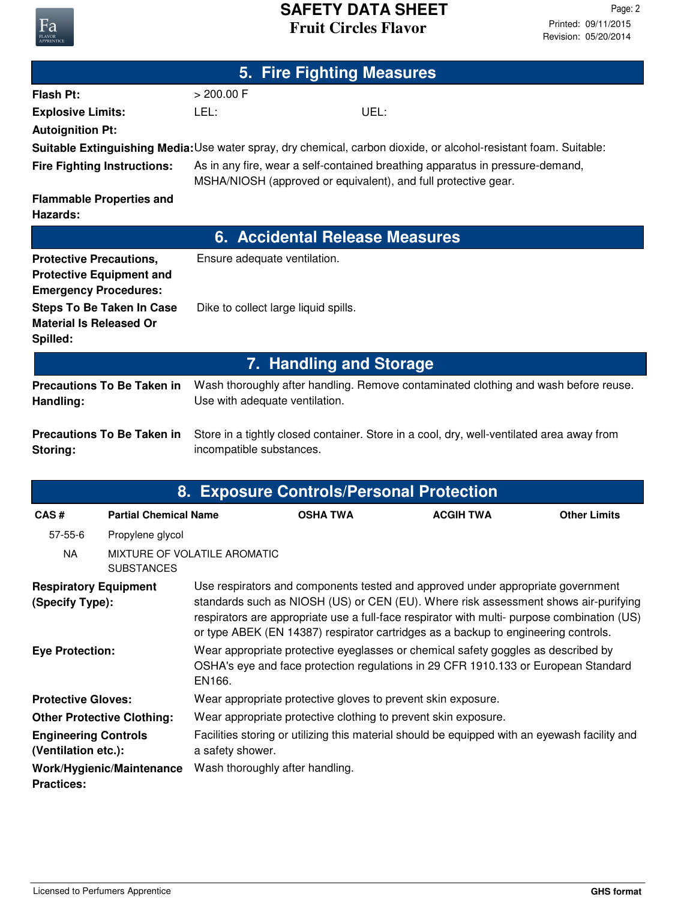## **Fruit Circles Flavor SAFETY DATA SHEET**

**5. Fire Fighting Measures**

| <b>Flash Pt:</b>                                                                                  |                                   | $> 200.00$ F                                                                                                                                                                                                                                                                                                                                                |                                |                  |                     |  |
|---------------------------------------------------------------------------------------------------|-----------------------------------|-------------------------------------------------------------------------------------------------------------------------------------------------------------------------------------------------------------------------------------------------------------------------------------------------------------------------------------------------------------|--------------------------------|------------------|---------------------|--|
| <b>Explosive Limits:</b>                                                                          |                                   | LEL:                                                                                                                                                                                                                                                                                                                                                        | UEL:                           |                  |                     |  |
| <b>Autoignition Pt:</b>                                                                           |                                   |                                                                                                                                                                                                                                                                                                                                                             |                                |                  |                     |  |
|                                                                                                   |                                   | Suitable Extinguishing Media: Use water spray, dry chemical, carbon dioxide, or alcohol-resistant foam. Suitable:                                                                                                                                                                                                                                           |                                |                  |                     |  |
| <b>Fire Fighting Instructions:</b>                                                                |                                   | As in any fire, wear a self-contained breathing apparatus in pressure-demand,<br>MSHA/NIOSH (approved or equivalent), and full protective gear.                                                                                                                                                                                                             |                                |                  |                     |  |
| <b>Flammable Properties and</b><br>Hazards:                                                       |                                   |                                                                                                                                                                                                                                                                                                                                                             |                                |                  |                     |  |
|                                                                                                   |                                   | 6. Accidental Release Measures                                                                                                                                                                                                                                                                                                                              |                                |                  |                     |  |
| <b>Protective Precautions,</b><br><b>Protective Equipment and</b><br><b>Emergency Procedures:</b> |                                   | Ensure adequate ventilation.                                                                                                                                                                                                                                                                                                                                |                                |                  |                     |  |
| <b>Material Is Released Or</b><br>Spilled:                                                        | <b>Steps To Be Taken In Case</b>  | Dike to collect large liquid spills.                                                                                                                                                                                                                                                                                                                        |                                |                  |                     |  |
|                                                                                                   |                                   |                                                                                                                                                                                                                                                                                                                                                             | <b>7. Handling and Storage</b> |                  |                     |  |
| Handling:                                                                                         | <b>Precautions To Be Taken in</b> | Wash thoroughly after handling. Remove contaminated clothing and wash before reuse.<br>Use with adequate ventilation.                                                                                                                                                                                                                                       |                                |                  |                     |  |
| Storing:                                                                                          | <b>Precautions To Be Taken in</b> | Store in a tightly closed container. Store in a cool, dry, well-ventilated area away from<br>incompatible substances.                                                                                                                                                                                                                                       |                                |                  |                     |  |
|                                                                                                   |                                   | 8. Exposure Controls/Personal Protection                                                                                                                                                                                                                                                                                                                    |                                |                  |                     |  |
| CAS#                                                                                              | <b>Partial Chemical Name</b>      |                                                                                                                                                                                                                                                                                                                                                             | <b>OSHA TWA</b>                | <b>ACGIH TWA</b> | <b>Other Limits</b> |  |
| $57 - 55 - 6$                                                                                     | Propylene glycol                  |                                                                                                                                                                                                                                                                                                                                                             |                                |                  |                     |  |
| <b>NA</b>                                                                                         | <b>SUBSTANCES</b>                 | MIXTURE OF VOLATILE AROMATIC                                                                                                                                                                                                                                                                                                                                |                                |                  |                     |  |
| <b>Respiratory Equipment</b><br>(Specify Type):                                                   |                                   | Use respirators and components tested and approved under appropriate government<br>standards such as NIOSH (US) or CEN (EU). Where risk assessment shows air-purifying<br>respirators are appropriate use a full-face respirator with multi- purpose combination (US)<br>or type ABEK (EN 14387) respirator cartridges as a backup to engineering controls. |                                |                  |                     |  |
| <b>Eye Protection:</b>                                                                            |                                   | Wear appropriate protective eyeglasses or chemical safety goggles as described by<br>OSHA's eye and face protection regulations in 29 CFR 1910.133 or European Standard<br>EN166.                                                                                                                                                                           |                                |                  |                     |  |
| <b>Protective Gloves:</b>                                                                         |                                   | Wear appropriate protective gloves to prevent skin exposure.                                                                                                                                                                                                                                                                                                |                                |                  |                     |  |
| <b>Other Protective Clothing:</b>                                                                 |                                   | Wear appropriate protective clothing to prevent skin exposure.                                                                                                                                                                                                                                                                                              |                                |                  |                     |  |
| <b>Engineering Controls</b>                                                                       |                                   | Facilities storing or utilizing this material should be equipped with an eyewash facility and                                                                                                                                                                                                                                                               |                                |                  |                     |  |
| (Ventilation etc.):                                                                               |                                   | a safety shower.                                                                                                                                                                                                                                                                                                                                            |                                |                  |                     |  |
| Work/Hygienic/Maintenance<br><b>Practices:</b>                                                    |                                   | Wash thoroughly after handling.                                                                                                                                                                                                                                                                                                                             |                                |                  |                     |  |

Fa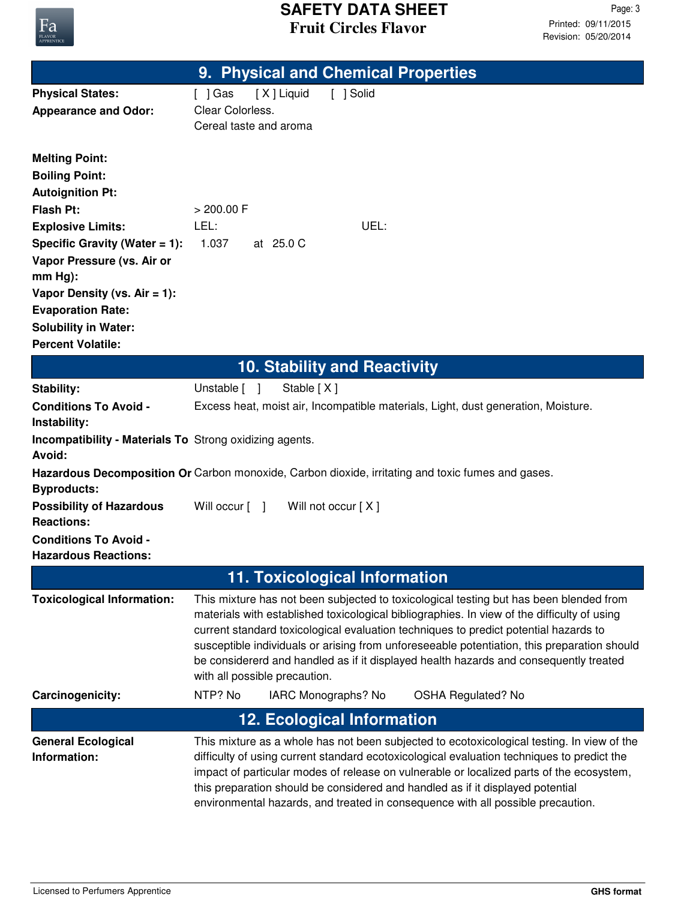

|                                                                                                                                                                                                                                                                                                                                    | 9. Physical and Chemical Properties                                                                                                                                                                                                                                                                                                                                                                                                                                                                    |  |  |
|------------------------------------------------------------------------------------------------------------------------------------------------------------------------------------------------------------------------------------------------------------------------------------------------------------------------------------|--------------------------------------------------------------------------------------------------------------------------------------------------------------------------------------------------------------------------------------------------------------------------------------------------------------------------------------------------------------------------------------------------------------------------------------------------------------------------------------------------------|--|--|
| <b>Physical States:</b><br><b>Appearance and Odor:</b>                                                                                                                                                                                                                                                                             | [X] Liquid<br>[ ] Solid<br>$[$ ] Gas<br>Clear Colorless.<br>Cereal taste and aroma                                                                                                                                                                                                                                                                                                                                                                                                                     |  |  |
| <b>Melting Point:</b><br><b>Boiling Point:</b><br><b>Autoignition Pt:</b><br><b>Flash Pt:</b><br><b>Explosive Limits:</b><br>Specific Gravity (Water $= 1$ ):<br>Vapor Pressure (vs. Air or<br>$mm Hg$ :<br>Vapor Density (vs. $Air = 1$ ):<br><b>Evaporation Rate:</b><br><b>Solubility in Water:</b><br><b>Percent Volatile:</b> | > 200.00 F<br>LEL:<br>UEL:<br>1.037<br>at 25.0 C                                                                                                                                                                                                                                                                                                                                                                                                                                                       |  |  |
|                                                                                                                                                                                                                                                                                                                                    | <b>10. Stability and Reactivity</b>                                                                                                                                                                                                                                                                                                                                                                                                                                                                    |  |  |
| <b>Stability:</b><br><b>Conditions To Avoid -</b>                                                                                                                                                                                                                                                                                  | Unstable [ ]<br>Stable [X]<br>Excess heat, moist air, Incompatible materials, Light, dust generation, Moisture.                                                                                                                                                                                                                                                                                                                                                                                        |  |  |
| Instability:<br>Incompatibility - Materials To Strong oxidizing agents.<br>Avoid:                                                                                                                                                                                                                                                  |                                                                                                                                                                                                                                                                                                                                                                                                                                                                                                        |  |  |
| <b>Byproducts:</b>                                                                                                                                                                                                                                                                                                                 | Hazardous Decomposition Or Carbon monoxide, Carbon dioxide, irritating and toxic fumes and gases.                                                                                                                                                                                                                                                                                                                                                                                                      |  |  |
| <b>Possibility of Hazardous</b><br><b>Reactions:</b>                                                                                                                                                                                                                                                                               | Will occur [ ]<br>Will not occur [X]                                                                                                                                                                                                                                                                                                                                                                                                                                                                   |  |  |
| <b>Conditions To Avoid -</b><br><b>Hazardous Reactions:</b>                                                                                                                                                                                                                                                                        |                                                                                                                                                                                                                                                                                                                                                                                                                                                                                                        |  |  |
|                                                                                                                                                                                                                                                                                                                                    | 11. Toxicological Information                                                                                                                                                                                                                                                                                                                                                                                                                                                                          |  |  |
| <b>Toxicological Information:</b>                                                                                                                                                                                                                                                                                                  | This mixture has not been subjected to toxicological testing but has been blended from<br>materials with established toxicological bibliographies. In view of the difficulty of using<br>current standard toxicological evaluation techniques to predict potential hazards to<br>susceptible individuals or arising from unforeseeable potentiation, this preparation should<br>be considererd and handled as if it displayed health hazards and consequently treated<br>with all possible precaution. |  |  |
| Carcinogenicity:                                                                                                                                                                                                                                                                                                                   | NTP? No<br>IARC Monographs? No<br><b>OSHA Regulated? No</b>                                                                                                                                                                                                                                                                                                                                                                                                                                            |  |  |
|                                                                                                                                                                                                                                                                                                                                    | <b>12. Ecological Information</b>                                                                                                                                                                                                                                                                                                                                                                                                                                                                      |  |  |
| <b>General Ecological</b><br>Information:                                                                                                                                                                                                                                                                                          | This mixture as a whole has not been subjected to ecotoxicological testing. In view of the<br>difficulty of using current standard ecotoxicological evaluation techniques to predict the<br>impact of particular modes of release on vulnerable or localized parts of the ecosystem,<br>this preparation should be considered and handled as if it displayed potential<br>environmental hazards, and treated in consequence with all possible precaution.                                              |  |  |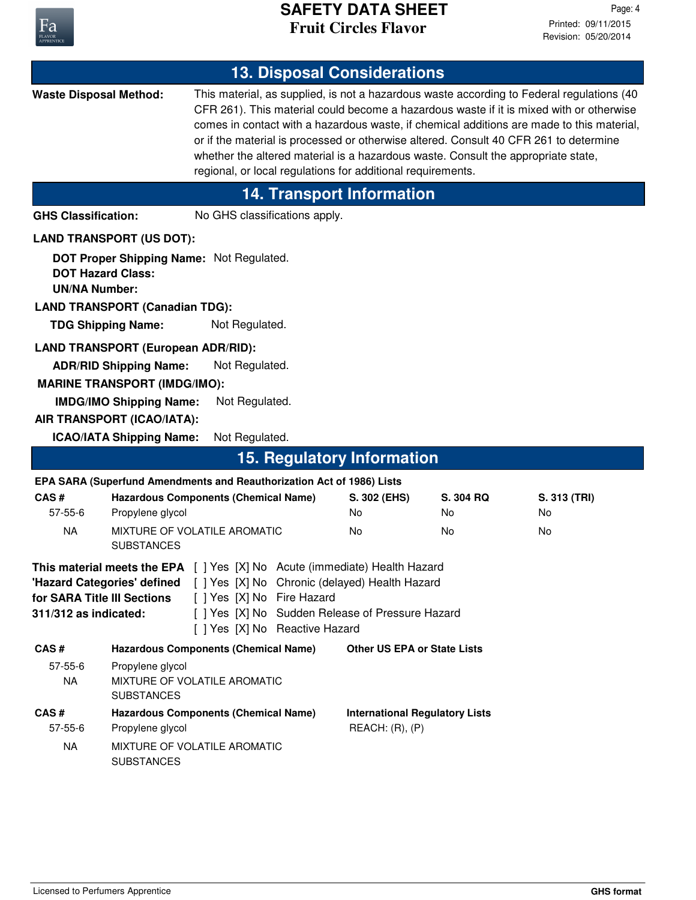

|                                                                                                                                                                                                                                                                                                                                      |                                                                                                                                                     |                                                                       |  | <b>13. Disposal Considerations</b>                                                                                                                                                                                                                                                                                                                                                                                                                              |                 |                    |
|--------------------------------------------------------------------------------------------------------------------------------------------------------------------------------------------------------------------------------------------------------------------------------------------------------------------------------------|-----------------------------------------------------------------------------------------------------------------------------------------------------|-----------------------------------------------------------------------|--|-----------------------------------------------------------------------------------------------------------------------------------------------------------------------------------------------------------------------------------------------------------------------------------------------------------------------------------------------------------------------------------------------------------------------------------------------------------------|-----------------|--------------------|
| <b>Waste Disposal Method:</b><br>regional, or local regulations for additional requirements.                                                                                                                                                                                                                                         |                                                                                                                                                     |                                                                       |  | This material, as supplied, is not a hazardous waste according to Federal regulations (40<br>CFR 261). This material could become a hazardous waste if it is mixed with or otherwise<br>comes in contact with a hazardous waste, if chemical additions are made to this material,<br>or if the material is processed or otherwise altered. Consult 40 CFR 261 to determine<br>whether the altered material is a hazardous waste. Consult the appropriate state, |                 |                    |
|                                                                                                                                                                                                                                                                                                                                      |                                                                                                                                                     |                                                                       |  | <b>14. Transport Information</b>                                                                                                                                                                                                                                                                                                                                                                                                                                |                 |                    |
| <b>GHS Classification:</b>                                                                                                                                                                                                                                                                                                           |                                                                                                                                                     | No GHS classifications apply.                                         |  |                                                                                                                                                                                                                                                                                                                                                                                                                                                                 |                 |                    |
|                                                                                                                                                                                                                                                                                                                                      | <b>LAND TRANSPORT (US DOT):</b>                                                                                                                     |                                                                       |  |                                                                                                                                                                                                                                                                                                                                                                                                                                                                 |                 |                    |
| <b>DOT Hazard Class:</b><br><b>UN/NA Number:</b>                                                                                                                                                                                                                                                                                     | <b>LAND TRANSPORT (Canadian TDG):</b><br><b>TDG Shipping Name:</b>                                                                                  | DOT Proper Shipping Name: Not Regulated.<br>Not Regulated.            |  |                                                                                                                                                                                                                                                                                                                                                                                                                                                                 |                 |                    |
|                                                                                                                                                                                                                                                                                                                                      |                                                                                                                                                     |                                                                       |  |                                                                                                                                                                                                                                                                                                                                                                                                                                                                 |                 |                    |
|                                                                                                                                                                                                                                                                                                                                      | <b>LAND TRANSPORT (European ADR/RID):</b><br><b>ADR/RID Shipping Name:</b><br><b>MARINE TRANSPORT (IMDG/IMO):</b><br><b>IMDG/IMO Shipping Name:</b> | Not Regulated.<br>Not Regulated.                                      |  |                                                                                                                                                                                                                                                                                                                                                                                                                                                                 |                 |                    |
|                                                                                                                                                                                                                                                                                                                                      | AIR TRANSPORT (ICAO/IATA):                                                                                                                          |                                                                       |  |                                                                                                                                                                                                                                                                                                                                                                                                                                                                 |                 |                    |
|                                                                                                                                                                                                                                                                                                                                      | <b>ICAO/IATA Shipping Name:</b>                                                                                                                     | Not Regulated.                                                        |  |                                                                                                                                                                                                                                                                                                                                                                                                                                                                 |                 |                    |
|                                                                                                                                                                                                                                                                                                                                      |                                                                                                                                                     |                                                                       |  | <b>15. Regulatory Information</b>                                                                                                                                                                                                                                                                                                                                                                                                                               |                 |                    |
|                                                                                                                                                                                                                                                                                                                                      |                                                                                                                                                     | EPA SARA (Superfund Amendments and Reauthorization Act of 1986) Lists |  |                                                                                                                                                                                                                                                                                                                                                                                                                                                                 |                 |                    |
| CAS#<br>57-55-6                                                                                                                                                                                                                                                                                                                      | Propylene glycol                                                                                                                                    | <b>Hazardous Components (Chemical Name)</b>                           |  | S. 302 (EHS)<br>No                                                                                                                                                                                                                                                                                                                                                                                                                                              | S. 304 RQ<br>No | S. 313 (TRI)<br>No |
| <b>NA</b>                                                                                                                                                                                                                                                                                                                            |                                                                                                                                                     | MIXTURE OF VOLATILE AROMATIC                                          |  | No                                                                                                                                                                                                                                                                                                                                                                                                                                                              | No              | No                 |
|                                                                                                                                                                                                                                                                                                                                      | <b>SUBSTANCES</b>                                                                                                                                   |                                                                       |  |                                                                                                                                                                                                                                                                                                                                                                                                                                                                 |                 |                    |
| This material meets the EPA [ ] Yes [X] No Acute (immediate) Health Hazard<br>"Hazard Categories' defined [ ] Yes [X] No Chronic (delayed) Health Hazard<br>[ ] Yes [X] No Fire Hazard<br>for SARA Title III Sections<br>[ ] Yes [X] No Sudden Release of Pressure Hazard<br>311/312 as indicated:<br>[ ] Yes [X] No Reactive Hazard |                                                                                                                                                     |                                                                       |  |                                                                                                                                                                                                                                                                                                                                                                                                                                                                 |                 |                    |
| CAS#                                                                                                                                                                                                                                                                                                                                 |                                                                                                                                                     | <b>Hazardous Components (Chemical Name)</b>                           |  | <b>Other US EPA or State Lists</b>                                                                                                                                                                                                                                                                                                                                                                                                                              |                 |                    |
| $57 - 55 - 6$<br><b>NA</b>                                                                                                                                                                                                                                                                                                           | Propylene glycol<br>MIXTURE OF VOLATILE AROMATIC<br><b>SUBSTANCES</b>                                                                               |                                                                       |  |                                                                                                                                                                                                                                                                                                                                                                                                                                                                 |                 |                    |
| CAS#<br>$57 - 55 - 6$                                                                                                                                                                                                                                                                                                                | Propylene glycol                                                                                                                                    | <b>Hazardous Components (Chemical Name)</b>                           |  | <b>International Regulatory Lists</b><br>REACH: (R), (P)                                                                                                                                                                                                                                                                                                                                                                                                        |                 |                    |
| <b>NA</b>                                                                                                                                                                                                                                                                                                                            | <b>SUBSTANCES</b>                                                                                                                                   | MIXTURE OF VOLATILE AROMATIC                                          |  |                                                                                                                                                                                                                                                                                                                                                                                                                                                                 |                 |                    |